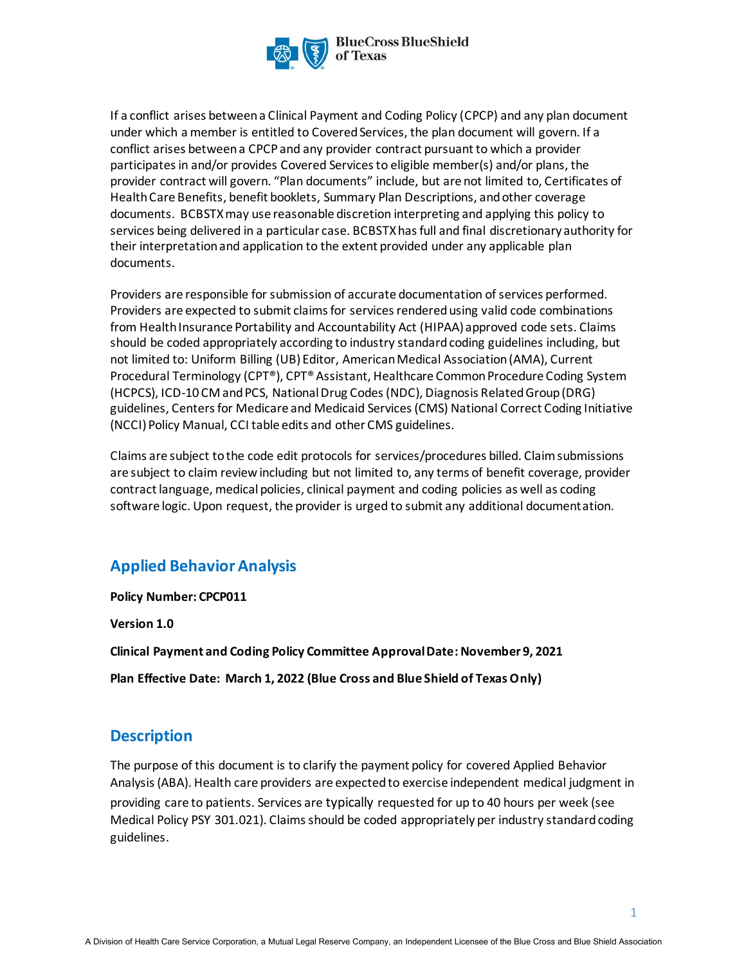

If a conflict arises between a Clinical Payment and Coding Policy (CPCP) and any plan document under which a member is entitled to Covered Services, the plan document will govern. If a conflict arises between a CPCP and any provider contract pursuant to which a provider participates in and/or provides Covered Services to eligible member(s) and/or plans, the provider contract will govern. "Plan documents" include, but are not limited to, Certificates of Health Care Benefits, benefit booklets, Summary Plan Descriptions, and other coverage documents. BCBSTXmay use reasonable discretion interpreting and applying this policy to services being delivered in a particular case. BCBSTXhas full and final discretionary authority for their interpretation and application to the extent provided under any applicable plan documents.

Providers are responsible for submission of accurate documentation of services performed. Providers are expected to submit claims for services rendered using valid code combinations from Health Insurance Portability and Accountability Act (HIPAA) approved code sets. Claims should be coded appropriately according to industry standard coding guidelines including, but not limited to: Uniform Billing (UB) Editor, American Medical Association (AMA), Current Procedural Terminology (CPT®), CPT® Assistant, Healthcare Common Procedure Coding System (HCPCS), ICD-10 CM and PCS, National Drug Codes (NDC), Diagnosis Related Group (DRG) guidelines, Centers for Medicare and Medicaid Services (CMS) National Correct Coding Initiative (NCCI) Policy Manual, CCI table edits and other CMS guidelines.

Claims are subject to the code edit protocols for services/procedures billed. Claim submissions are subject to claim review including but not limited to, any terms of benefit coverage, provider contract language, medical policies, clinical payment and coding policies as well as coding software logic. Upon request, the provider is urged to submit any additional documentation.

# **Applied Behavior Analysis**

**Policy Number: CPCP011**

**Version 1.0** 

**Clinical Payment and Coding Policy Committee Approval Date: November 9, 2021**

**Plan Effective Date: March 1, 2022 (Blue Cross and Blue Shield of Texas Only)**

## **Description**

The purpose of this document is to clarify the payment policy for covered Applied Behavior Analysis(ABA). Health care providers are expected to exercise independent medical judgment in providing care to patients. Services are typically requested for up to 40 hours per week (see Medical Policy PSY 301.021). Claims should be coded appropriately per industry standard coding guidelines.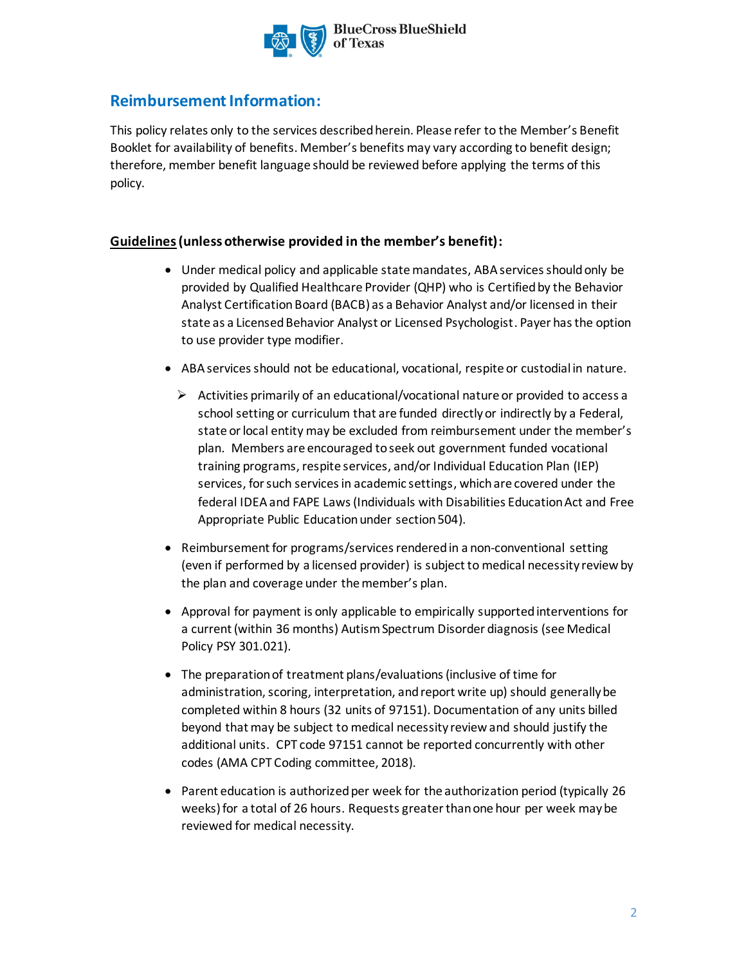

# **Reimbursement Information:**

This policy relates only to the services described herein. Please refer to the Member's Benefit Booklet for availability of benefits. Member's benefits may vary according to benefit design; therefore, member benefit language should be reviewed before applying the terms of this policy.

### **Guidelines(unless otherwise provided in the member's benefit):**

- Under medical policy and applicable state mandates, ABAservices should only be provided by Qualified Healthcare Provider (QHP) who is Certified by the Behavior Analyst Certification Board (BACB) as a Behavior Analyst and/or licensed in their state as a Licensed Behavior Analyst or Licensed Psychologist. Payer has the option to use provider type modifier.
- ABA services should not be educational, vocational, respite or custodial in nature.
	- $\triangleright$  Activities primarily of an educational/vocational nature or provided to access a school setting or curriculum that are funded directly or indirectly by a Federal, state or local entity may be excluded from reimbursement under the member's plan. Members are encouraged to seek out government funded vocational training programs, respite services, and/or Individual Education Plan (IEP) services, for such services in academic settings, whichare covered under the federal IDEA and FAPE Laws(Individuals with Disabilities Education Act and Free Appropriate Public Education under section 504).
- Reimbursement for programs/services rendered in a non-conventional setting (even if performed by a licensed provider) is subject to medical necessity review by the plan and coverage under the member's plan.
- Approval for payment is only applicable to empirically supported interventions for a current (within 36 months) Autism Spectrum Disorder diagnosis (see Medical Policy PSY 301.021).
- The preparation of treatment plans/evaluations (inclusive of time for administration, scoring, interpretation, and report write up) should generally be completed within 8 hours (32 units of 97151). Documentation of any units billed beyond that may be subject to medical necessity review and should justify the additional units. CPT code 97151 cannot be reported concurrently with other codes (AMA CPT Coding committee, 2018).
- Parent education is authorized per week for the authorization period (typically 26 weeks) for a total of 26 hours. Requests greater than one hour per week may be reviewed for medical necessity.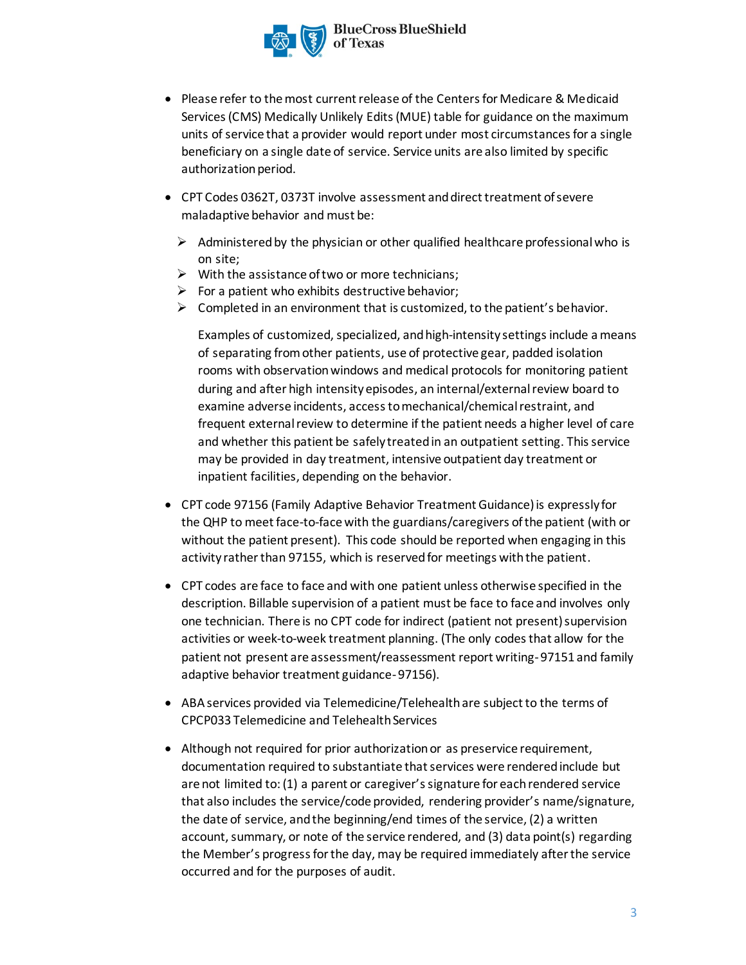

- Please refer to the most current release of the Centers for Medicare & Medicaid Services (CMS) Medically Unlikely Edits (MUE) table for guidance on the maximum units of service that a provider would report under most circumstances for a single beneficiary on a single date of service. Service units are also limited by specific authorization period.
- CPT Codes 0362T, 0373T involve assessment and direct treatment of severe maladaptive behavior and must be:
	- $\triangleright$  Administered by the physician or other qualified healthcare professional who is on site;
	- $\triangleright$  With the assistance of two or more technicians;
	- $\triangleright$  For a patient who exhibits destructive behavior;
	- $\triangleright$  Completed in an environment that is customized, to the patient's behavior.

Examples of customized, specialized, and high-intensity settings include a means of separating from other patients, use of protective gear, padded isolation rooms with observation windows and medical protocols for monitoring patient during and after high intensity episodes, an internal/external review board to examine adverse incidents, access to mechanical/chemical restraint, and frequent external review to determine if the patient needs a higher level of care and whether this patient be safely treated in an outpatient setting. This service may be provided in day treatment, intensive outpatient day treatment or inpatient facilities, depending on the behavior.

- CPT code 97156 (Family Adaptive Behavior Treatment Guidance) is expressly for the QHP to meet face-to-face with the guardians/caregivers of the patient (with or without the patient present). This code should be reported when engaging in this activity rather than 97155, which is reserved for meetings with the patient.
- CPT codes are face to face and with one patient unless otherwise specified in the description. Billable supervision of a patient must be face to face and involves only one technician. There is no CPT code for indirect (patient not present) supervision activities or week-to-week treatment planning. (The only codes that allow for the patient not present are assessment/reassessment report writing-97151 and family adaptive behavior treatment guidance-97156).
- ABA services provided via Telemedicine/Telehealth are subject to the terms of CPCP033 Telemedicine and Telehealth Services
- Although not required for prior authorization or as preservice requirement, documentation required to substantiate that services were rendered include but are not limited to: (1) a parent or caregiver's signature for each rendered service that also includes the service/code provided, rendering provider's name/signature, the date of service, and the beginning/end times of the service, (2) a written account, summary, or note of the service rendered, and (3) data point(s) regarding the Member's progress for the day, may be required immediately after the service occurred and for the purposes of audit.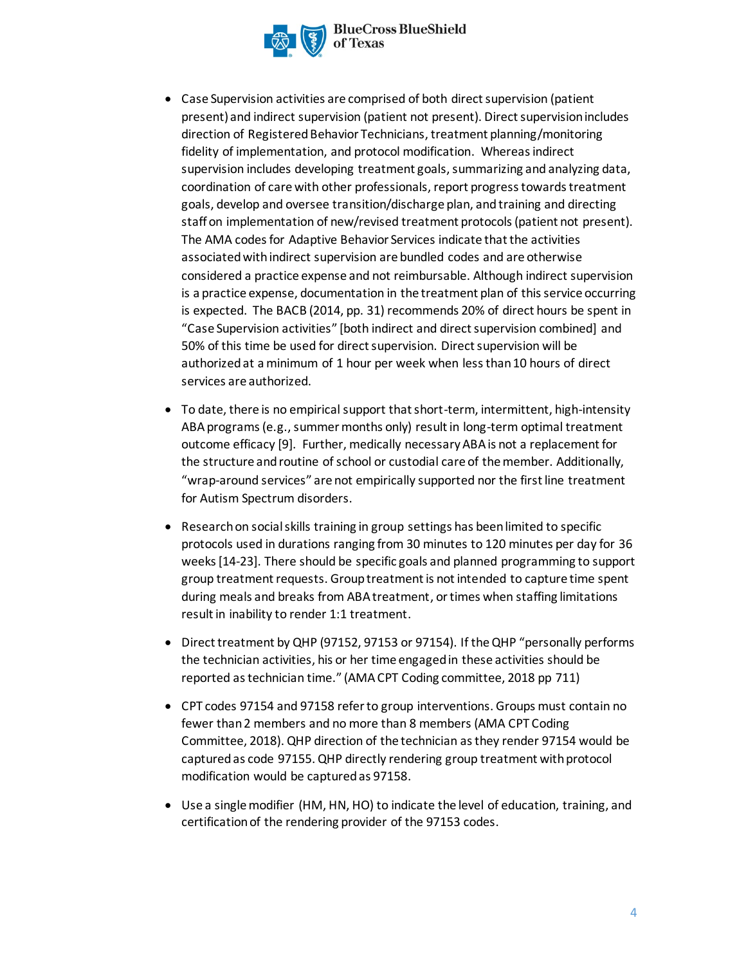

**BlueCross BlueShield** 

- Case Supervision activities are comprised of both direct supervision (patient present) and indirect supervision (patient not present). Direct supervision includes direction of Registered Behavior Technicians, treatment planning/monitoring fidelity of implementation, and protocol modification. Whereas indirect supervision includes developing treatment goals, summarizing and analyzing data, coordination of care with other professionals, report progress towards treatment goals, develop and oversee transition/discharge plan, and training and directing staff on implementation of new/revised treatment protocols (patient not present). The AMA codes for Adaptive Behavior Services indicate that the activities associated with indirect supervision are bundled codes and are otherwise considered a practice expense and not reimbursable. Although indirect supervision is a practice expense, documentation in the treatment plan of this service occurring is expected. The BACB (2014, pp. 31) recommends 20% of direct hours be spent in "Case Supervision activities" [both indirect and direct supervision combined] and 50% of this time be used for direct supervision. Direct supervision will be authorized at a minimum of 1 hour per week when less than 10 hours of direct services are authorized.
- To date, there is no empirical support that short-term, intermittent, high-intensity ABA programs (e.g., summer months only) result in long-term optimal treatment outcome efficacy [9]. Further, medically necessaryABA is not a replacement for the structure and routine of school or custodial care of the member. Additionally, "wrap-around services" are not empirically supported nor the first line treatment for Autism Spectrum disorders.
- Research on social skills training in group settings has been limited to specific protocols used in durations ranging from 30 minutes to 120 minutes per day for 36 weeks [14-23]. There should be specific goals and planned programming to support group treatment requests. Group treatment is not intended to capture time spent during meals and breaks from ABA treatment, or times when staffing limitations result in inability to render 1:1 treatment.
- Direct treatment by QHP (97152, 97153 or 97154). If the QHP "personally performs the technician activities, his or her time engaged in these activities should be reported as technician time." (AMA CPT Coding committee, 2018 pp 711)
- CPT codes 97154 and 97158 refer to group interventions. Groups must contain no fewer than 2 members and no more than 8 members (AMA CPT Coding Committee, 2018). QHP direction of the technician as they render 97154 would be captured as code 97155. QHP directly rendering group treatment with protocol modification would be captured as 97158.
- Use a single modifier (HM, HN, HO) to indicate the level of education, training, and certification of the rendering provider of the 97153 codes.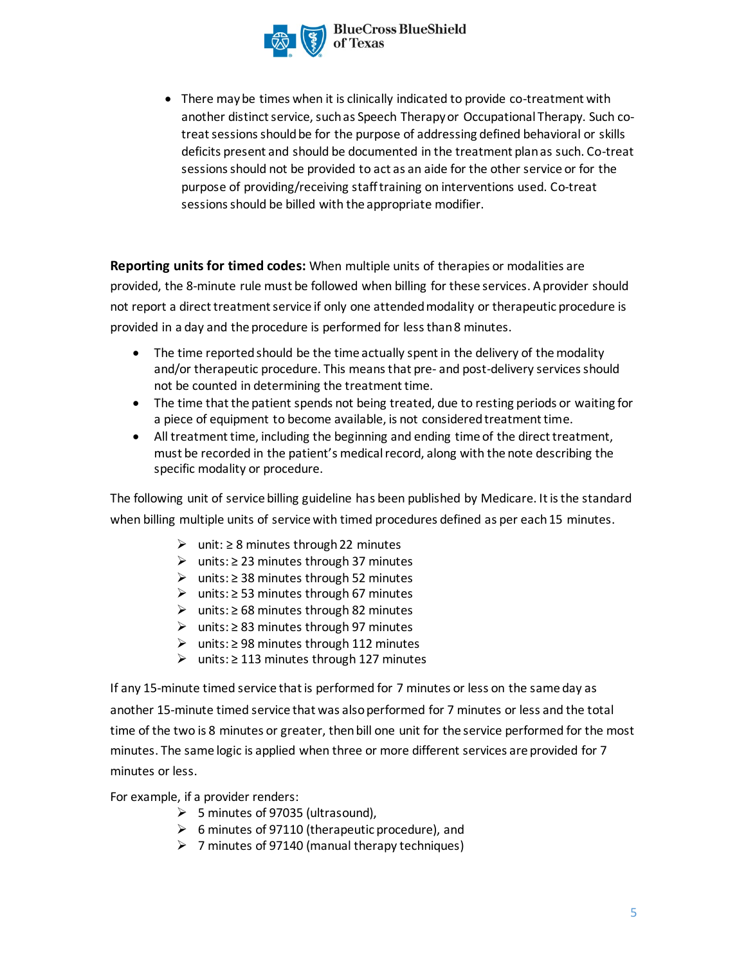

- **BlueCross BlueShield**
- There may be times when it is clinically indicated to provide co-treatment with another distinct service, such as Speech Therapy or Occupational Therapy. Such cotreat sessions should be for the purpose of addressing defined behavioral or skills deficits present and should be documented in the treatment plan as such. Co-treat sessions should not be provided to act as an aide for the other service or for the purpose of providing/receiving staff training on interventions used. Co-treat sessions should be billed with the appropriate modifier.

**Reporting units for timed codes:** When multiple units of therapies or modalities are provided, the 8-minute rule must be followed when billing for these services. A provider should not report a direct treatment service if only one attended modality or therapeutic procedure is provided in a day and the procedure is performed for less than 8 minutes.

- The time reported should be the time actually spent in the delivery of the modality and/or therapeutic procedure. This means that pre- and post-delivery services should not be counted in determining the treatment time.
- The time that the patient spends not being treated, due to resting periods or waiting for a piece of equipment to become available, is not considered treatment time.
- All treatment time, including the beginning and ending time of the direct treatment, must be recorded in the patient's medical record, along with the note describing the specific modality or procedure.

The following unit of service billing guideline has been published by Medicare. It is the standard when billing multiple units of service with timed procedures defined as per each 15 minutes.

- ➢ unit: ≥ 8 minutes through 22 minutes
- ➢ units: ≥ 23 minutes through 37 minutes
- ➢ units: ≥ 38 minutes through 52 minutes
- ➢ units: ≥ 53 minutes through 67 minutes
- ➢ units: ≥ 68 minutes through 82 minutes
- ➢ units: ≥ 83 minutes through 97 minutes
- ➢ units: ≥ 98 minutes through 112 minutes
- ➢ units: ≥ 113 minutes through 127 minutes

If any 15-minute timed service that is performed for 7 minutes or less on the same day as another 15-minute timed service that was also performed for 7 minutes or less and the total time of the two is 8 minutes or greater, then bill one unit for the service performed for the most minutes. The same logic is applied when three or more different services are provided for 7 minutes or less.

For example, if a provider renders:

- ➢ 5 minutes of 97035 (ultrasound),
- $\geq 6$  minutes of 97110 (therapeutic procedure), and
- $\geq 7$  minutes of 97140 (manual therapy techniques)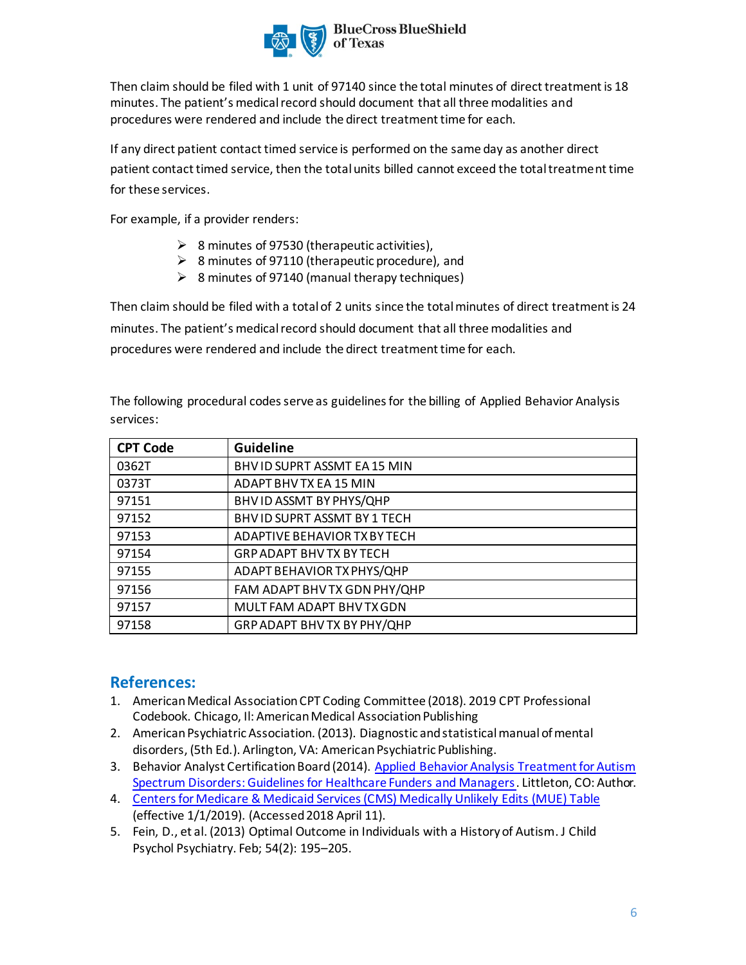

Then claim should be filed with 1 unit of 97140 since the total minutes of direct treatment is 18 minutes. The patient's medical record should document that all three modalities and procedures were rendered and include the direct treatment time for each.

If any direct patient contact timed service is performed on the same day as another direct patient contact timed service, then the total units billed cannot exceed the total treatment time for these services.

For example, if a provider renders:

- $\geq$  8 minutes of 97530 (therapeutic activities),
- ➢ 8 minutes of 97110 (therapeutic procedure), and
- $\geq$  8 minutes of 97140 (manual therapy techniques)

Then claim should be filed with a total of 2 units since the total minutes of direct treatment is 24 minutes. The patient's medical record should document that all three modalities and procedures were rendered and include the direct treatment time for each.

The following procedural codes serve as guidelines for the billing of Applied Behavior Analysis services:

| <b>CPT Code</b> | Guideline                       |
|-----------------|---------------------------------|
| 0362T           | BHV ID SUPRT ASSMT EA 15 MIN    |
| 0373T           | ADAPT BHV TX EA 15 MIN          |
| 97151           | BHV ID ASSMT BY PHYS/QHP        |
| 97152           | BHV ID SUPRT ASSMT BY 1 TECH    |
| 97153           | ADAPTIVE BEHAVIOR TX BY TECH    |
| 97154           | <b>GRP ADAPT BHV TX BY TECH</b> |
| 97155           | ADAPT BEHAVIOR TX PHYS/QHP      |
| 97156           | FAM ADAPT BHV TX GDN PHY/QHP    |
| 97157           | MULT FAM ADAPT BHV TX GDN       |
| 97158           | GRP ADAPT BHV TX BY PHY/QHP     |

## **References:**

- 1. American Medical Association CPT Coding Committee (2018). 2019 CPT Professional Codebook. Chicago, Il: American Medical Association Publishing
- 2. American Psychiatric Association. (2013). Diagnostic and statistical manual of mental disorders, (5th Ed.). Arlington, VA: American Psychiatric Publishing.
- 3. Behavior Analyst Certification Board (2014)[. Applied Behavior Analysis Treatment for Autism](https://casproviders.org/asd-guidelines) [Spectrum Disorders: Guidelines for Healthcare Funders and Managers](https://casproviders.org/asd-guidelines). Littleton, CO: Author.
- 4. [Centers for Medicare & Medicaid Services \(CMS\) Medically Unlikely Edits](https://www.cms.gov/Medicare/Coding/NationalCorrectCodInitEd/MUE.html) (MUE) Table (effective 1/1/2019). (Accessed 2018 April 11).
- 5. [Fein,](https://www.ncbi.nlm.nih.gov/pubmed/?term=Fein%20D%5BAuthor%5D&cauthor=true&cauthor_uid=23320807) D., et al. (2013) Optimal Outcome in Individuals with a History of Autism[. J Child](https://www.ncbi.nlm.nih.gov/entrez/eutils/elink.fcgi?dbfrom=pubmed&retmode=ref&cmd=prlinks&id=23320807) [Psychol Psychiatry. Feb; 54\(2\): 195](https://www.ncbi.nlm.nih.gov/entrez/eutils/elink.fcgi?dbfrom=pubmed&retmode=ref&cmd=prlinks&id=23320807)–205.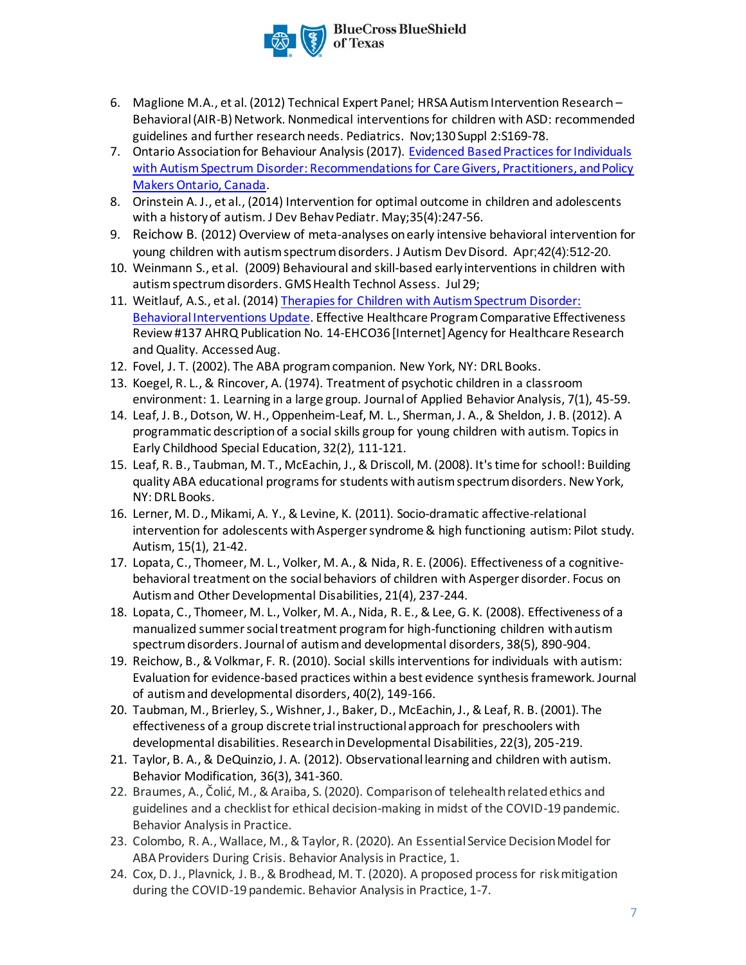

- 6. [Maglione M.A](https://www.ncbi.nlm.nih.gov/pubmed/?term=Maglione%20MA%5BAuthor%5D&cauthor=true&cauthor_uid=23118248)., et al. (2012[\) Technical Expert Panel;](https://www.ncbi.nlm.nih.gov/pubmed/?term=Technical%20Expert%20Panel%5BCorporate%20Author%5D) [HRSA Autism Intervention Research](https://www.ncbi.nlm.nih.gov/pubmed/?term=HRSA%20Autism%20Intervention%20Research%20%E2%80%93%20Behavioral%20(AIR-B)%20Network%5BCorporate%20Author%5D)  [Behavioral \(AIR-B\) Network.](https://www.ncbi.nlm.nih.gov/pubmed/?term=HRSA%20Autism%20Intervention%20Research%20%E2%80%93%20Behavioral%20(AIR-B)%20Network%5BCorporate%20Author%5D) Nonmedical interventions for children with ASD: recommended guidelines and further research needs[. Pediatrics.](https://www.ncbi.nlm.nih.gov/pubmed/23118248) Nov;130 Suppl 2:S169-78.
- 7. Ontario Association for Behaviour Analysis (2017)[. Evidenced Based Practices for Individuals](http://www.ontaba.org/pdf/ONTABA%20OSETT-ASD%20REPORT%20WEB.pdf) [with Autism Spectrum Disorder: Recommendations for Care Givers, Practitioners, and Policy](http://www.ontaba.org/pdf/ONTABA%20OSETT-ASD%20REPORT%20WEB.pdf) [Makers Ontario, Canada.](http://www.ontaba.org/pdf/ONTABA%20OSETT-ASD%20REPORT%20WEB.pdf)
- 8. [Orinstein](https://www.ncbi.nlm.nih.gov/pubmed/?term=Orinstein%20AJ%5BAuthor%5D&cauthor=true&cauthor_uid=24799263) A. J., et al., (2014) Intervention for optimal outcome in children and adolescents with a history of autism. J Dev Behav Pediatr. May; 35(4): 247-56.
- 9. [Reichow B](https://www.ncbi.nlm.nih.gov/pubmed/?term=Reichow%20B%5BAuthor%5D&cauthor=true&cauthor_uid=21404083). (2012) Overview of meta-analyses on early intensive behavioral intervention for young children with autism spectrum disorders[. J Autism Dev Disord.](https://www.ncbi.nlm.nih.gov/pubmed/21404083/) Apr;42(4):512-20.
- 10. [Weinmann S.](https://www.ncbi.nlm.nih.gov/pubmed/?term=Weinmann%20S%5BAuthor%5D&cauthor=true&cauthor_uid=21289897), et al. (2009) Behavioural and skill-based early interventions in children with autism spectrum disorders. [GMS Health Technol Assess.](https://www.ncbi.nlm.nih.gov/pubmed/21289897) Jul 29;
- 11. Weitlauf, A.S., et al. (2014[\) Therapies for Children with](https://effectivehealthcare.ahrq.gov/topics/autism-update/research/) Autism Spectrum Disorder: [Behavioral Interventions Update.](https://effectivehealthcare.ahrq.gov/topics/autism-update/research/) Effective Healthcare Program Comparative Effectiveness Review #137 AHRQ Publication No. 14-EHCO36 [Internet] Agency for Healthcare Research and Quality. AccessedAug.
- 12. Fovel, J. T. (2002). The ABA program companion. New York, NY: DRL Books.
- 13. Koegel, R. L., & Rincover, A. (1974). Treatment of psychotic children in a classroom environment: 1. Learning in a large group. Journal of Applied Behavior Analysis, 7(1), 45-59.
- 14. Leaf, J. B., Dotson, W. H., Oppenheim-Leaf, M. L., Sherman, J. A., & Sheldon, J. B. (2012). A programmatic description of a social skills group for young children with autism. Topics in Early Childhood Special Education, 32(2), 111-121.
- 15. Leaf, R. B., Taubman, M. T., McEachin, J., & Driscoll, M. (2008). It's time for school!: Building quality ABA educational programs for students with autism spectrum disorders. New York, NY: DRL Books.
- 16. Lerner, M. D., Mikami, A. Y., & Levine, K. (2011). Socio-dramatic affective-relational intervention for adolescents with Asperger syndrome & high functioning autism: Pilot study. Autism, 15(1), 21-42.
- 17. Lopata, C., Thomeer, M. L., Volker, M. A., & Nida, R. E. (2006). Effectiveness of a cognitivebehavioral treatment on the social behaviors of children with Asperger disorder. Focus on Autism and Other Developmental Disabilities, 21(4), 237-244.
- 18. Lopata, C., Thomeer, M. L., Volker, M. A., Nida, R. E., & Lee, G. K. (2008). Effectiveness of a manualized summer social treatment program for high-functioning children with autism spectrum disorders. Journal of autism and developmental disorders, 38(5), 890-904.
- 19. Reichow, B., & Volkmar, F. R. (2010). Social skills interventions for individuals with autism: Evaluation for evidence-based practices within a best evidence synthesis framework. Journal of autism and developmental disorders, 40(2), 149-166.
- 20. Taubman, M., Brierley, S., Wishner, J., Baker, D., McEachin, J., & Leaf, R. B. (2001). The effectiveness of a group discrete trial instructional approach for preschoolers with developmental disabilities. Research in Developmental Disabilities, 22(3), 205-219.
- 21. Taylor, B. A., & DeQuinzio, J. A. (2012). Observational learning and children with autism. Behavior Modification, 36(3), 341-360.
- 22. Braumes, A., Čolić, M., & Araiba, S. (2020). Comparison of telehealth related ethics and guidelines and a checklist for ethical decision-making in midst of the COVID-19 pandemic. Behavior Analysis in Practice.
- 23. Colombo, R. A., Wallace, M., & Taylor, R. (2020). An Essential Service Decision Model for ABA Providers During Crisis. Behavior Analysis in Practice, 1.
- 24. Cox, D. J., Plavnick, J. B., & Brodhead, M. T. (2020). A proposed process for risk mitigation during the COVID-19 pandemic. Behavior Analysis in Practice, 1-7.